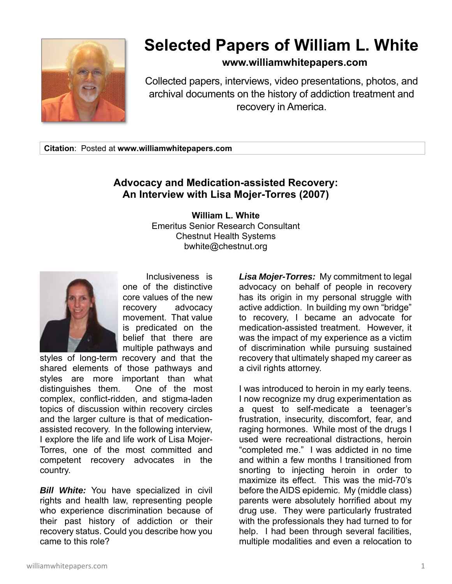

## **Selected Papers of William L. White**

## **www.williamwhitepapers.com**

Collected papers, interviews, video presentations, photos, and archival documents on the history of addiction treatment and recovery in America.

**Citation**: Posted at **www.williamwhitepapers.com** 

## **Advocacy and Medication-assisted Recovery: An Interview with Lisa Mojer-Torres (2007)**

**William L. White**  Emeritus Senior Research Consultant Chestnut Health Systems bwhite@chestnut.org



 Inclusiveness is one of the distinctive core values of the new recovery advocacy movement. That value is predicated on the belief that there are multiple pathways and

styles of long-term recovery and that the shared elements of those pathways and styles are more important than what distinguishes them. One of the most complex, conflict-ridden, and stigma-laden topics of discussion within recovery circles and the larger culture is that of medicationassisted recovery. In the following interview, I explore the life and life work of Lisa Mojer-Torres, one of the most committed and competent recovery advocates in the country.

*Bill White:* You have specialized in civil rights and health law, representing people who experience discrimination because of their past history of addiction or their recovery status. Could you describe how you came to this role?

*Lisa Mojer-Torres:* My commitment to legal advocacy on behalf of people in recovery has its origin in my personal struggle with active addiction. In building my own "bridge" to recovery, I became an advocate for medication-assisted treatment. However, it was the impact of my experience as a victim of discrimination while pursuing sustained recovery that ultimately shaped my career as a civil rights attorney.

I was introduced to heroin in my early teens. I now recognize my drug experimentation as a quest to self-medicate a teenager's frustration, insecurity, discomfort, fear, and raging hormones. While most of the drugs I used were recreational distractions, heroin "completed me." I was addicted in no time and within a few months I transitioned from snorting to injecting heroin in order to maximize its effect. This was the mid-70's before the AIDS epidemic. My (middle class) parents were absolutely horrified about my drug use. They were particularly frustrated with the professionals they had turned to for help. I had been through several facilities, multiple modalities and even a relocation to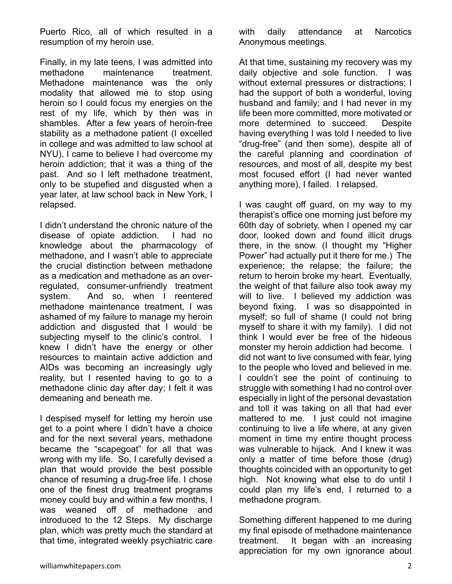Puerto Rico, all of which resulted in a resumption of my heroin use.

Finally, in my late teens, I was admitted into methadone maintenance treatment. Methadone maintenance was the only modality that allowed me to stop using heroin so I could focus my energies on the rest of my life, which by then was in shambles. After a few years of heroin-free stability as a methadone patient (I excelled in college and was admitted to law school at NYU), I came to believe I had overcome my heroin addiction; that it was a thing of the past. And so I left methadone treatment, only to be stupefied and disgusted when a year later, at law school back in New York, I relapsed.

I didn't understand the chronic nature of the disease of opiate addiction. I had no knowledge about the pharmacology of methadone, and I wasn't able to appreciate the crucial distinction between methadone as a medication and methadone as an overregulated, consumer-unfriendly treatment system. And so, when I reentered methadone maintenance treatment, I was ashamed of my failure to manage my heroin addiction and disgusted that I would be subjecting myself to the clinic's control. I knew I didn't have the energy or other resources to maintain active addiction and AIDs was becoming an increasingly ugly reality, but I resented having to go to a methadone clinic day after day; I felt it was demeaning and beneath me.

I despised myself for letting my heroin use get to a point where I didn't have a choice and for the next several years, methadone became the "scapegoat" for all that was wrong with my life. So, I carefully devised a plan that would provide the best possible chance of resuming a drug-free life. I chose one of the finest drug treatment programs money could buy and within a few months, I was weaned off of methadone and introduced to the 12 Steps. My discharge plan, which was pretty much the standard at that time, integrated weekly psychiatric care with daily attendance at Narcotics Anonymous meetings.

At that time, sustaining my recovery was my daily objective and sole function. I was without external pressures or distractions; I had the support of both a wonderful, loving husband and family; and I had never in my life been more committed, more motivated or more determined to succeed. Despite having everything I was told I needed to live "drug-free" (and then some), despite all of the careful planning and coordination of resources, and most of all, despite my best most focused effort (I had never wanted anything more), I failed. I relapsed.

I was caught off guard, on my way to my therapist's office one morning just before my 60th day of sobriety, when I opened my car door, looked down and found illicit drugs there, in the snow. (I thought my "Higher Power" had actually put it there for me.) The experience; the relapse; the failure; the return to heroin broke my heart. Eventually, the weight of that failure also took away my will to live. I believed my addiction was beyond fixing. I was so disappointed in myself; so full of shame (I could not bring myself to share it with my family). I did not think I would ever be free of the hideous monster my heroin addiction had become. I did not want to live consumed with fear, lying to the people who loved and believed in me. I couldn't see the point of continuing to struggle with something I had no control over especially in light of the personal devastation and toll it was taking on all that had ever mattered to me. I just could not imagine continuing to live a life where, at any given moment in time my entire thought process was vulnerable to hijack. And I knew it was only a matter of time before those (drug) thoughts coincided with an opportunity to get high. Not knowing what else to do until I could plan my life's end, I returned to a methadone program.

Something different happened to me during my final episode of methadone maintenance treatment. It began with an increasing appreciation for my own ignorance about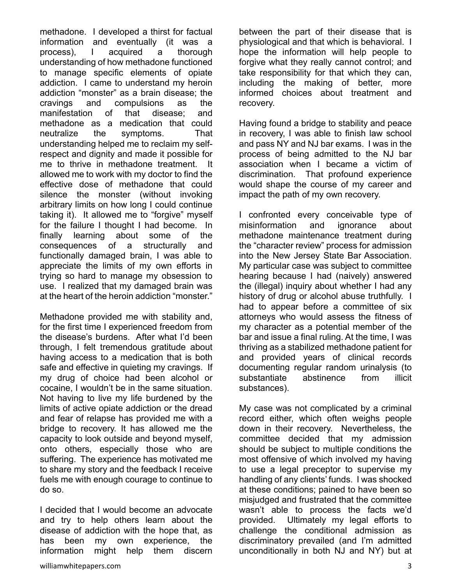methadone. I developed a thirst for factual information and eventually (it was a process), I acquired a thorough understanding of how methadone functioned to manage specific elements of opiate addiction. I came to understand my heroin addiction "monster" as a brain disease; the cravings and compulsions as the manifestation of that disease; and methadone as a medication that could neutralize the symptoms. That understanding helped me to reclaim my selfrespect and dignity and made it possible for me to thrive in methadone treatment. It allowed me to work with my doctor to find the effective dose of methadone that could silence the monster (without invoking arbitrary limits on how long I could continue taking it). It allowed me to "forgive" myself for the failure I thought I had become. In finally learning about some of the consequences of a structurally and functionally damaged brain, I was able to appreciate the limits of my own efforts in trying so hard to manage my obsession to use. I realized that my damaged brain was at the heart of the heroin addiction "monster."

Methadone provided me with stability and, for the first time I experienced freedom from the disease's burdens. After what I'd been through, I felt tremendous gratitude about having access to a medication that is both safe and effective in quieting my cravings. If my drug of choice had been alcohol or cocaine, I wouldn't be in the same situation. Not having to live my life burdened by the limits of active opiate addiction or the dread and fear of relapse has provided me with a bridge to recovery. It has allowed me the capacity to look outside and beyond myself, onto others, especially those who are suffering. The experience has motivated me to share my story and the feedback I receive fuels me with enough courage to continue to do so.

I decided that I would become an advocate and try to help others learn about the disease of addiction with the hope that, as has been my own experience, the information might help them discern

between the part of their disease that is physiological and that which is behavioral. I hope the information will help people to forgive what they really cannot control; and take responsibility for that which they can, including the making of better, more informed choices about treatment and recovery.

Having found a bridge to stability and peace in recovery, I was able to finish law school and pass NY and NJ bar exams. I was in the process of being admitted to the NJ bar association when I became a victim of discrimination. That profound experience would shape the course of my career and impact the path of my own recovery.

I confronted every conceivable type of misinformation and ignorance about methadone maintenance treatment during the "character review" process for admission into the New Jersey State Bar Association. My particular case was subject to committee hearing because I had (naively) answered the (illegal) inquiry about whether I had any history of drug or alcohol abuse truthfully. I had to appear before a committee of six attorneys who would assess the fitness of my character as a potential member of the bar and issue a final ruling. At the time, I was thriving as a stabilized methadone patient for and provided years of clinical records documenting regular random urinalysis (to substantiate abstinence from illicit substances).

My case was not complicated by a criminal record either, which often weighs people down in their recovery. Nevertheless, the committee decided that my admission should be subject to multiple conditions the most offensive of which involved my having to use a legal preceptor to supervise my handling of any clients' funds. I was shocked at these conditions; pained to have been so misjudged and frustrated that the committee wasn't able to process the facts we'd provided. Ultimately my legal efforts to challenge the conditional admission as discriminatory prevailed (and I'm admitted unconditionally in both NJ and NY) but at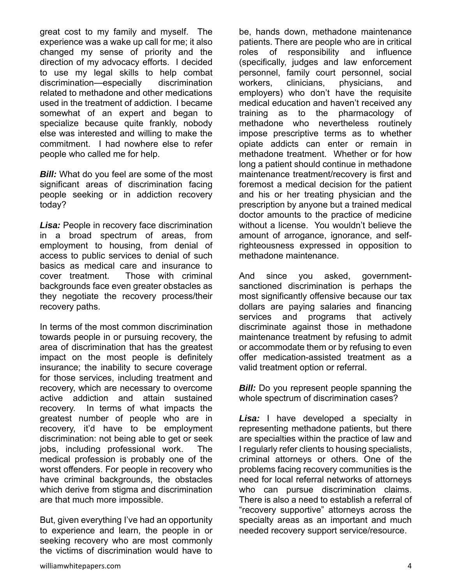great cost to my family and myself. The experience was a wake up call for me; it also changed my sense of priority and the direction of my advocacy efforts. I decided to use my legal skills to help combat discrimination—especially discrimination related to methadone and other medications used in the treatment of addiction. I became somewhat of an expert and began to specialize because quite frankly, nobody else was interested and willing to make the commitment. I had nowhere else to refer people who called me for help.

**Bill:** What do you feel are some of the most significant areas of discrimination facing people seeking or in addiction recovery today?

*Lisa:* People in recovery face discrimination in a broad spectrum of areas, from employment to housing, from denial of access to public services to denial of such basics as medical care and insurance to cover treatment. Those with criminal backgrounds face even greater obstacles as they negotiate the recovery process/their recovery paths.

In terms of the most common discrimination towards people in or pursuing recovery, the area of discrimination that has the greatest impact on the most people is definitely insurance; the inability to secure coverage for those services, including treatment and recovery, which are necessary to overcome active addiction and attain sustained recovery. In terms of what impacts the greatest number of people who are in recovery, it'd have to be employment discrimination: not being able to get or seek jobs, including professional work. The medical profession is probably one of the worst offenders. For people in recovery who have criminal backgrounds, the obstacles which derive from stigma and discrimination are that much more impossible.

But, given everything I've had an opportunity to experience and learn, the people in or seeking recovery who are most commonly the victims of discrimination would have to be, hands down, methadone maintenance patients. There are people who are in critical roles of responsibility and influence (specifically, judges and law enforcement personnel, family court personnel, social workers, clinicians, physicians, and employers) who don't have the requisite medical education and haven't received any training as to the pharmacology of methadone who nevertheless routinely impose prescriptive terms as to whether opiate addicts can enter or remain in methadone treatment. Whether or for how long a patient should continue in methadone maintenance treatment/recovery is first and foremost a medical decision for the patient and his or her treating physician and the prescription by anyone but a trained medical doctor amounts to the practice of medicine without a license. You wouldn't believe the amount of arrogance, ignorance, and selfrighteousness expressed in opposition to methadone maintenance.

And since you asked, governmentsanctioned discrimination is perhaps the most significantly offensive because our tax dollars are paying salaries and financing services and programs that actively discriminate against those in methadone maintenance treatment by refusing to admit or accommodate them or by refusing to even offer medication-assisted treatment as a valid treatment option or referral.

*Bill:* Do you represent people spanning the whole spectrum of discrimination cases?

*Lisa:* I have developed a specialty in representing methadone patients, but there are specialties within the practice of law and I regularly refer clients to housing specialists, criminal attorneys or others. One of the problems facing recovery communities is the need for local referral networks of attorneys who can pursue discrimination claims. There is also a need to establish a referral of "recovery supportive" attorneys across the specialty areas as an important and much needed recovery support service/resource.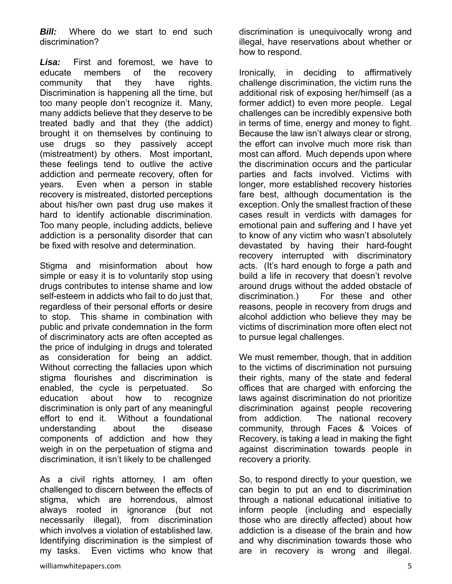**Bill:** Where do we start to end such discrimination?

*Lisa:* First and foremost, we have to educate members of the recovery community that they have rights. Discrimination is happening all the time, but too many people don't recognize it. Many, many addicts believe that they deserve to be treated badly and that they (the addict) brought it on themselves by continuing to use drugs so they passively accept (mistreatment) by others. Most important, these feelings tend to outlive the active addiction and permeate recovery, often for years. Even when a person in stable recovery is mistreated, distorted perceptions about his/her own past drug use makes it hard to identify actionable discrimination. Too many people, including addicts, believe addiction is a personality disorder that can be fixed with resolve and determination.

Stigma and misinformation about how simple or easy it is to voluntarily stop using drugs contributes to intense shame and low self-esteem in addicts who fail to do just that, regardless of their personal efforts or desire to stop. This shame in combination with public and private condemnation in the form of discriminatory acts are often accepted as the price of indulging in drugs and tolerated as consideration for being an addict. Without correcting the fallacies upon which stigma flourishes and discrimination is enabled, the cycle is perpetuated. So education about how to recognize discrimination is only part of any meaningful effort to end it. Without a foundational understanding about the disease components of addiction and how they weigh in on the perpetuation of stigma and discrimination, it isn't likely to be challenged

As a civil rights attorney, I am often challenged to discern between the effects of stigma, which are horrendous, almost always rooted in ignorance (but not necessarily illegal), from discrimination which involves a violation of established law. Identifying discrimination is the simplest of my tasks. Even victims who know that discrimination is unequivocally wrong and illegal, have reservations about whether or how to respond.

Ironically, in deciding to affirmatively challenge discrimination, the victim runs the additional risk of exposing her/himself (as a former addict) to even more people. Legal challenges can be incredibly expensive both in terms of time, energy and money to fight. Because the law isn't always clear or strong, the effort can involve much more risk than most can afford. Much depends upon where the discrimination occurs and the particular parties and facts involved. Victims with longer, more established recovery histories fare best, although documentation is the exception. Only the smallest fraction of these cases result in verdicts with damages for emotional pain and suffering and I have yet to know of any victim who wasn't absolutely devastated by having their hard-fought recovery interrupted with discriminatory acts. (It's hard enough to forge a path and build a life in recovery that doesn't revolve around drugs without the added obstacle of discrimination.) For these and other reasons, people in recovery from drugs and alcohol addiction who believe they may be victims of discrimination more often elect not to pursue legal challenges.

We must remember, though, that in addition to the victims of discrimination not pursuing their rights, many of the state and federal offices that are charged with enforcing the laws against discrimination do not prioritize discrimination against people recovering from addiction. The national recovery community, through Faces & Voices of Recovery, is taking a lead in making the fight against discrimination towards people in recovery a priority.

So, to respond directly to your question, we can begin to put an end to discrimination through a national educational initiative to inform people (including and especially those who are directly affected) about how addiction is a disease of the brain and how and why discrimination towards those who are in recovery is wrong and illegal.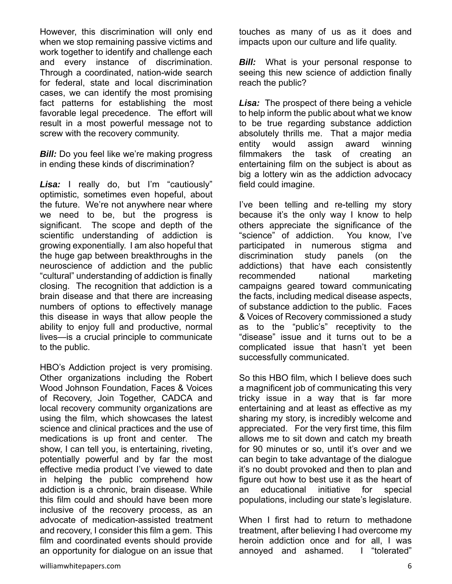However, this discrimination will only end when we stop remaining passive victims and work together to identify and challenge each and every instance of discrimination. Through a coordinated, nation-wide search for federal, state and local discrimination cases, we can identify the most promising fact patterns for establishing the most favorable legal precedence. The effort will result in a most powerful message not to screw with the recovery community.

*Bill:* Do you feel like we're making progress in ending these kinds of discrimination?

*Lisa:* I really do, but I'm "cautiously" optimistic, sometimes even hopeful, about the future. We're not anywhere near where we need to be, but the progress is significant. The scope and depth of the scientific understanding of addiction is growing exponentially. I am also hopeful that the huge gap between breakthroughs in the neuroscience of addiction and the public "cultural" understanding of addiction is finally closing. The recognition that addiction is a brain disease and that there are increasing numbers of options to effectively manage this disease in ways that allow people the ability to enjoy full and productive, normal lives—is a crucial principle to communicate to the public.

HBO's Addiction project is very promising. Other organizations including the Robert Wood Johnson Foundation, Faces & Voices of Recovery, Join Together, CADCA and local recovery community organizations are using the film, which showcases the latest science and clinical practices and the use of medications is up front and center. The show, I can tell you, is entertaining, riveting, potentially powerful and by far the most effective media product I've viewed to date in helping the public comprehend how addiction is a chronic, brain disease. While this film could and should have been more inclusive of the recovery process, as an advocate of medication-assisted treatment and recovery, I consider this film a gem. This film and coordinated events should provide an opportunity for dialogue on an issue that touches as many of us as it does and impacts upon our culture and life quality.

*Bill:* What is your personal response to seeing this new science of addiction finally reach the public?

*Lisa:* The prospect of there being a vehicle to help inform the public about what we know to be true regarding substance addiction absolutely thrills me. That a major media entity would assign award winning filmmakers the task of creating an entertaining film on the subject is about as big a lottery win as the addiction advocacy field could imagine.

I've been telling and re-telling my story because it's the only way I know to help others appreciate the significance of the "science" of addiction. You know, I've participated in numerous stigma and discrimination study panels (on the addictions) that have each consistently recommended national marketing campaigns geared toward communicating the facts, including medical disease aspects, of substance addiction to the public. Faces & Voices of Recovery commissioned a study as to the "public's" receptivity to the "disease" issue and it turns out to be a complicated issue that hasn't yet been successfully communicated.

So this HBO film, which I believe does such a magnificent job of communicating this very tricky issue in a way that is far more entertaining and at least as effective as my sharing my story, is incredibly welcome and appreciated. For the very first time, this film allows me to sit down and catch my breath for 90 minutes or so, until it's over and we can begin to take advantage of the dialogue it's no doubt provoked and then to plan and figure out how to best use it as the heart of an educational initiative for special populations, including our state's legislature.

When I first had to return to methadone treatment, after believing I had overcome my heroin addiction once and for all, I was annoyed and ashamed. I "tolerated"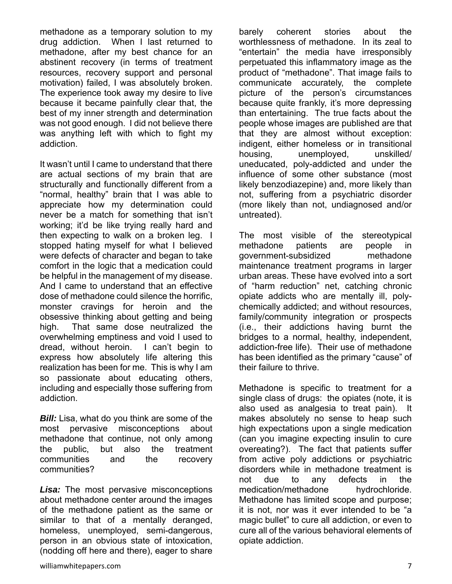methadone as a temporary solution to my drug addiction. When I last returned to methadone, after my best chance for an abstinent recovery (in terms of treatment resources, recovery support and personal motivation) failed, I was absolutely broken. The experience took away my desire to live because it became painfully clear that, the best of my inner strength and determination was not good enough. I did not believe there was anything left with which to fight my addiction.

It wasn't until I came to understand that there are actual sections of my brain that are structurally and functionally different from a "normal, healthy" brain that I was able to appreciate how my determination could never be a match for something that isn't working; it'd be like trying really hard and then expecting to walk on a broken leg. I stopped hating myself for what I believed were defects of character and began to take comfort in the logic that a medication could be helpful in the management of my disease. And I came to understand that an effective dose of methadone could silence the horrific, monster cravings for heroin and the obsessive thinking about getting and being high. That same dose neutralized the overwhelming emptiness and void I used to dread, without heroin. I can't begin to express how absolutely life altering this realization has been for me. This is why I am so passionate about educating others, including and especially those suffering from addiction.

*Bill:* Lisa, what do you think are some of the most pervasive misconceptions about methadone that continue, not only among the public, but also the treatment communities and the recovery communities?

*Lisa:* The most pervasive misconceptions about methadone center around the images of the methadone patient as the same or similar to that of a mentally deranged, homeless, unemployed, semi-dangerous, person in an obvious state of intoxication, (nodding off here and there), eager to share

barely coherent stories about the worthlessness of methadone. In its zeal to "entertain" the media have irresponsibly perpetuated this inflammatory image as the product of "methadone". That image fails to communicate accurately, the complete picture of the person's circumstances because quite frankly, it's more depressing than entertaining. The true facts about the people whose images are published are that that they are almost without exception: indigent, either homeless or in transitional housing, unemployed, unskilled/ uneducated, poly-addicted and under the influence of some other substance (most likely benzodiazepine) and, more likely than not, suffering from a psychiatric disorder (more likely than not, undiagnosed and/or untreated).

The most visible of the stereotypical methadone patients are people in government-subsidized methadone maintenance treatment programs in larger urban areas. These have evolved into a sort of "harm reduction" net, catching chronic opiate addicts who are mentally ill, polychemically addicted; and without resources, family/community integration or prospects (i.e., their addictions having burnt the bridges to a normal, healthy, independent, addiction-free life). Their use of methadone has been identified as the primary "cause" of their failure to thrive.

Methadone is specific to treatment for a single class of drugs: the opiates (note, it is also used as analgesia to treat pain). It makes absolutely no sense to heap such high expectations upon a single medication (can you imagine expecting insulin to cure overeating?). The fact that patients suffer from active poly addictions or psychiatric disorders while in methadone treatment is not due to any defects in the medication/methadone hydrochloride. Methadone has limited scope and purpose; it is not, nor was it ever intended to be "a magic bullet" to cure all addiction, or even to cure all of the various behavioral elements of opiate addiction.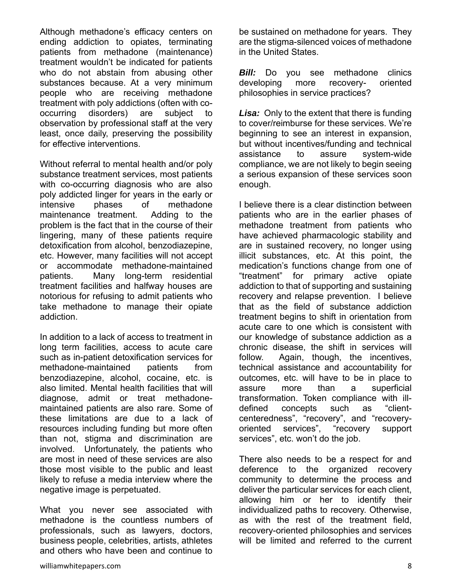Although methadone's efficacy centers on ending addiction to opiates, terminating patients from methadone (maintenance) treatment wouldn't be indicated for patients who do not abstain from abusing other substances because. At a very minimum people who are receiving methadone treatment with poly addictions (often with cooccurring disorders) are subject to observation by professional staff at the very least, once daily, preserving the possibility for effective interventions.

Without referral to mental health and/or poly substance treatment services, most patients with co-occurring diagnosis who are also poly addicted linger for years in the early or intensive phases of methadone maintenance treatment. Adding to the problem is the fact that in the course of their lingering, many of these patients require detoxification from alcohol, benzodiazepine, etc. However, many facilities will not accept or accommodate methadone-maintained patients. Many long-term residential treatment facilities and halfway houses are notorious for refusing to admit patients who take methadone to manage their opiate addiction.

In addition to a lack of access to treatment in long term facilities, access to acute care such as in-patient detoxification services for methadone-maintained patients from benzodiazepine, alcohol, cocaine, etc. is also limited. Mental health facilities that will diagnose, admit or treat methadonemaintained patients are also rare. Some of these limitations are due to a lack of resources including funding but more often than not, stigma and discrimination are involved. Unfortunately, the patients who are most in need of these services are also those most visible to the public and least likely to refuse a media interview where the negative image is perpetuated.

What you never see associated with methadone is the countless numbers of professionals, such as lawyers, doctors, business people, celebrities, artists, athletes and others who have been and continue to

be sustained on methadone for years. They are the stigma-silenced voices of methadone in the United States.

**Bill:** Do you see methadone clinics developing more recovery- oriented philosophies in service practices?

**Lisa:** Only to the extent that there is funding to cover/reimburse for these services. We're beginning to see an interest in expansion, but without incentives/funding and technical assistance to assure system-wide compliance, we are not likely to begin seeing a serious expansion of these services soon enough.

I believe there is a clear distinction between patients who are in the earlier phases of methadone treatment from patients who have achieved pharmacologic stability and are in sustained recovery, no longer using illicit substances, etc. At this point, the medication's functions change from one of "treatment" for primary active opiate addiction to that of supporting and sustaining recovery and relapse prevention. I believe that as the field of substance addiction treatment begins to shift in orientation from acute care to one which is consistent with our knowledge of substance addiction as a chronic disease, the shift in services will follow. Again, though, the incentives, technical assistance and accountability for outcomes, etc. will have to be in place to assure more than a superficial transformation. Token compliance with illdefined concepts such as "clientcenteredness", "recovery", and "recoveryoriented services", "recovery support services", etc. won't do the job.

There also needs to be a respect for and deference to the organized recovery community to determine the process and deliver the particular services for each client, allowing him or her to identify their individualized paths to recovery. Otherwise, as with the rest of the treatment field, recovery-oriented philosophies and services will be limited and referred to the current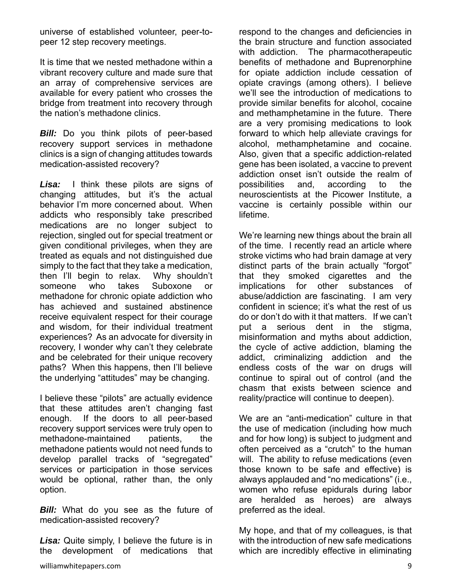universe of established volunteer, peer-topeer 12 step recovery meetings.

It is time that we nested methadone within a vibrant recovery culture and made sure that an array of comprehensive services are available for every patient who crosses the bridge from treatment into recovery through the nation's methadone clinics.

**Bill:** Do you think pilots of peer-based recovery support services in methadone clinics is a sign of changing attitudes towards medication-assisted recovery?

*Lisa:* I think these pilots are signs of changing attitudes, but it's the actual behavior I'm more concerned about. When addicts who responsibly take prescribed medications are no longer subject to rejection, singled out for special treatment or given conditional privileges, when they are treated as equals and not distinguished due simply to the fact that they take a medication, then I'll begin to relax. Why shouldn't someone who takes Suboxone or methadone for chronic opiate addiction who has achieved and sustained abstinence receive equivalent respect for their courage and wisdom, for their individual treatment experiences? As an advocate for diversity in recovery, I wonder why can't they celebrate and be celebrated for their unique recovery paths? When this happens, then I'll believe the underlying "attitudes" may be changing.

I believe these "pilots" are actually evidence that these attitudes aren't changing fast enough. If the doors to all peer-based recovery support services were truly open to methadone-maintained patients, the methadone patients would not need funds to develop parallel tracks of "segregated" services or participation in those services would be optional, rather than, the only option.

**Bill:** What do you see as the future of medication-assisted recovery?

*Lisa:* Quite simply, I believe the future is in the development of medications that

respond to the changes and deficiencies in the brain structure and function associated with addiction. The pharmacotherapeutic benefits of methadone and Buprenorphine for opiate addiction include cessation of opiate cravings (among others). I believe we'll see the introduction of medications to provide similar benefits for alcohol, cocaine and methamphetamine in the future. There are a very promising medications to look forward to which help alleviate cravings for alcohol, methamphetamine and cocaine. Also, given that a specific addiction-related gene has been isolated, a vaccine to prevent addiction onset isn't outside the realm of possibilities and, according to the neuroscientists at the Picower Institute, a vaccine is certainly possible within our lifetime.

We're learning new things about the brain all of the time. I recently read an article where stroke victims who had brain damage at very distinct parts of the brain actually "forgot" that they smoked cigarettes and the implications for other substances of abuse/addiction are fascinating. I am very confident in science; it's what the rest of us do or don't do with it that matters. If we can't put a serious dent in the stigma, misinformation and myths about addiction, the cycle of active addiction, blaming the addict, criminalizing addiction and the endless costs of the war on drugs will continue to spiral out of control (and the chasm that exists between science and reality/practice will continue to deepen).

We are an "anti-medication" culture in that the use of medication (including how much and for how long) is subject to judgment and often perceived as a "crutch" to the human will. The ability to refuse medications (even those known to be safe and effective) is always applauded and "no medications" (i.e., women who refuse epidurals during labor are heralded as heroes) are always preferred as the ideal.

My hope, and that of my colleagues, is that with the introduction of new safe medications which are incredibly effective in eliminating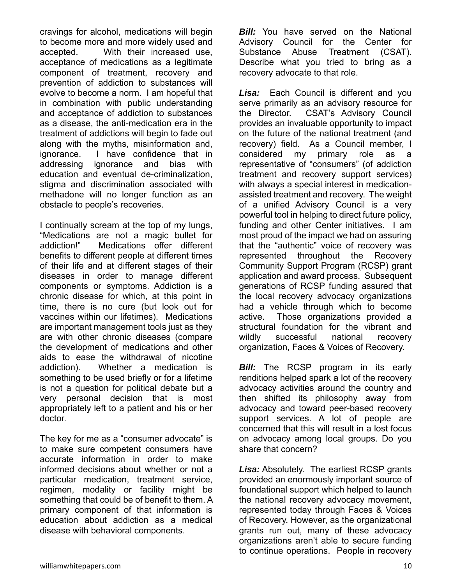cravings for alcohol, medications will begin to become more and more widely used and accepted. With their increased use, acceptance of medications as a legitimate component of treatment, recovery and prevention of addiction to substances will evolve to become a norm. I am hopeful that in combination with public understanding and acceptance of addiction to substances as a disease, the anti-medication era in the treatment of addictions will begin to fade out along with the myths, misinformation and, ignorance. I have confidence that in addressing ignorance and bias with education and eventual de-criminalization, stigma and discrimination associated with methadone will no longer function as an obstacle to people's recoveries.

I continually scream at the top of my lungs, "Medications are not a magic bullet for addiction!" Medications offer different benefits to different people at different times of their life and at different stages of their diseases in order to manage different components or symptoms. Addiction is a chronic disease for which, at this point in time, there is no cure (but look out for vaccines within our lifetimes). Medications are important management tools just as they are with other chronic diseases (compare the development of medications and other aids to ease the withdrawal of nicotine addiction). Whether a medication is something to be used briefly or for a lifetime is not a question for political debate but a very personal decision that is most appropriately left to a patient and his or her doctor.

The key for me as a "consumer advocate" is to make sure competent consumers have accurate information in order to make informed decisions about whether or not a particular medication, treatment service, regimen, modality or facility might be something that could be of benefit to them. A primary component of that information is education about addiction as a medical disease with behavioral components.

*Bill:* You have served on the National Advisory Council for the Center for Substance Abuse Treatment (CSAT). Describe what you tried to bring as a recovery advocate to that role.

*Lisa:* Each Council is different and you serve primarily as an advisory resource for the Director. CSAT's Advisory Council provides an invaluable opportunity to impact on the future of the national treatment (and recovery) field. As a Council member, I considered my primary role as a representative of "consumers" (of addiction treatment and recovery support services) with always a special interest in medicationassisted treatment and recovery. The weight of a unified Advisory Council is a very powerful tool in helping to direct future policy, funding and other Center initiatives. I am most proud of the impact we had on assuring that the "authentic" voice of recovery was represented throughout the Recovery Community Support Program (RCSP) grant application and award process. Subsequent generations of RCSP funding assured that the local recovery advocacy organizations had a vehicle through which to become active. Those organizations provided a structural foundation for the vibrant and wildly successful national recovery organization, Faces & Voices of Recovery.

*Bill:* The RCSP program in its early renditions helped spark a lot of the recovery advocacy activities around the country and then shifted its philosophy away from advocacy and toward peer-based recovery support services. A lot of people are concerned that this will result in a lost focus on advocacy among local groups. Do you share that concern?

*Lisa:* Absolutely. The earliest RCSP grants provided an enormously important source of foundational support which helped to launch the national recovery advocacy movement, represented today through Faces & Voices of Recovery. However, as the organizational grants run out, many of these advocacy organizations aren't able to secure funding to continue operations. People in recovery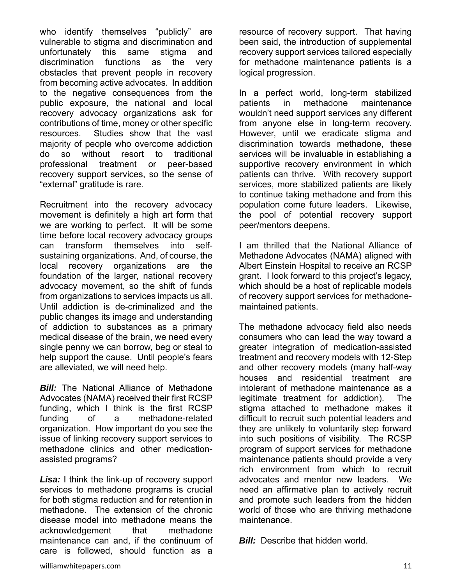who identify themselves "publicly" are vulnerable to stigma and discrimination and unfortunately this same stigma and discrimination functions as the very obstacles that prevent people in recovery from becoming active advocates. In addition to the negative consequences from the public exposure, the national and local recovery advocacy organizations ask for contributions of time, money or other specific resources. Studies show that the vast majority of people who overcome addiction do so without resort to traditional professional treatment or peer-based recovery support services, so the sense of "external" gratitude is rare.

Recruitment into the recovery advocacy movement is definitely a high art form that we are working to perfect. It will be some time before local recovery advocacy groups can transform themselves into selfsustaining organizations. And, of course, the local recovery organizations are the foundation of the larger, national recovery advocacy movement, so the shift of funds from organizations to services impacts us all. Until addiction is de-criminalized and the public changes its image and understanding of addiction to substances as a primary medical disease of the brain, we need every single penny we can borrow, beg or steal to help support the cause. Until people's fears are alleviated, we will need help.

**Bill:** The National Alliance of Methadone Advocates (NAMA) received their first RCSP funding, which I think is the first RCSP funding of a methadone-related organization. How important do you see the issue of linking recovery support services to methadone clinics and other medicationassisted programs?

*Lisa:* I think the link-up of recovery support services to methadone programs is crucial for both stigma reduction and for retention in methadone. The extension of the chronic disease model into methadone means the acknowledgement that methadone maintenance can and, if the continuum of care is followed, should function as a

resource of recovery support. That having been said, the introduction of supplemental recovery support services tailored especially for methadone maintenance patients is a logical progression.

In a perfect world, long-term stabilized patients in methadone maintenance wouldn't need support services any different from anyone else in long-term recovery. However, until we eradicate stigma and discrimination towards methadone, these services will be invaluable in establishing a supportive recovery environment in which patients can thrive. With recovery support services, more stabilized patients are likely to continue taking methadone and from this population come future leaders. Likewise, the pool of potential recovery support peer/mentors deepens.

I am thrilled that the National Alliance of Methadone Advocates (NAMA) aligned with Albert Einstein Hospital to receive an RCSP grant. I look forward to this project's legacy, which should be a host of replicable models of recovery support services for methadonemaintained patients.

The methadone advocacy field also needs consumers who can lead the way toward a greater integration of medication-assisted treatment and recovery models with 12-Step and other recovery models (many half-way houses and residential treatment are intolerant of methadone maintenance as a legitimate treatment for addiction). The stigma attached to methadone makes it difficult to recruit such potential leaders and they are unlikely to voluntarily step forward into such positions of visibility. The RCSP program of support services for methadone maintenance patients should provide a very rich environment from which to recruit advocates and mentor new leaders. We need an affirmative plan to actively recruit and promote such leaders from the hidden world of those who are thriving methadone maintenance.

*Bill:* Describe that hidden world.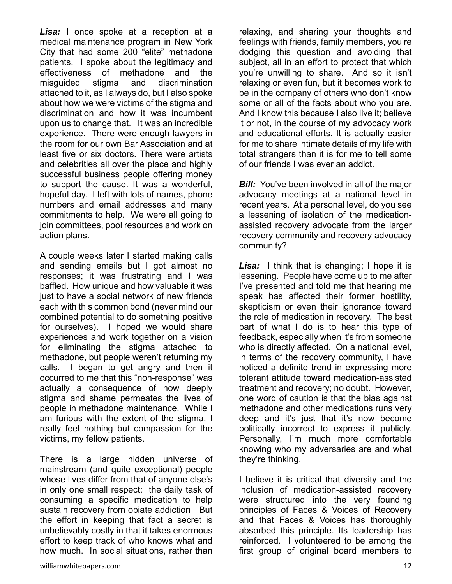*Lisa:* I once spoke at a reception at a medical maintenance program in New York City that had some 200 "elite" methadone patients. I spoke about the legitimacy and effectiveness of methadone and the misguided stigma and discrimination attached to it, as I always do, but I also spoke about how we were victims of the stigma and discrimination and how it was incumbent upon us to change that. It was an incredible experience. There were enough lawyers in the room for our own Bar Association and at least five or six doctors. There were artists and celebrities all over the place and highly successful business people offering money to support the cause. It was a wonderful, hopeful day. I left with lots of names, phone numbers and email addresses and many commitments to help. We were all going to join committees, pool resources and work on action plans.

A couple weeks later I started making calls and sending emails but I got almost no responses; it was frustrating and I was baffled. How unique and how valuable it was just to have a social network of new friends each with this common bond (never mind our combined potential to do something positive for ourselves). I hoped we would share experiences and work together on a vision for eliminating the stigma attached to methadone, but people weren't returning my calls. I began to get angry and then it occurred to me that this "non-response" was actually a consequence of how deeply stigma and shame permeates the lives of people in methadone maintenance. While I am furious with the extent of the stigma, I really feel nothing but compassion for the victims, my fellow patients.

There is a large hidden universe of mainstream (and quite exceptional) people whose lives differ from that of anyone else's in only one small respect: the daily task of consuming a specific medication to help sustain recovery from opiate addiction But the effort in keeping that fact a secret is unbelievably costly in that it takes enormous effort to keep track of who knows what and how much. In social situations, rather than

relaxing, and sharing your thoughts and feelings with friends, family members, you're dodging this question and avoiding that subject, all in an effort to protect that which you're unwilling to share. And so it isn't relaxing or even fun, but it becomes work to be in the company of others who don't know some or all of the facts about who you are. And I know this because I also live it; believe it or not, in the course of my advocacy work and educational efforts. It is actually easier for me to share intimate details of my life with total strangers than it is for me to tell some of our friends I was ever an addict.

*Bill:* You've been involved in all of the major advocacy meetings at a national level in recent years. At a personal level, do you see a lessening of isolation of the medicationassisted recovery advocate from the larger recovery community and recovery advocacy community?

*Lisa:* I think that is changing; I hope it is lessening. People have come up to me after I've presented and told me that hearing me speak has affected their former hostility, skepticism or even their ignorance toward the role of medication in recovery. The best part of what I do is to hear this type of feedback, especially when it's from someone who is directly affected. On a national level, in terms of the recovery community, I have noticed a definite trend in expressing more tolerant attitude toward medication-assisted treatment and recovery; no doubt. However, one word of caution is that the bias against methadone and other medications runs very deep and it's just that it's now become politically incorrect to express it publicly. Personally, I'm much more comfortable knowing who my adversaries are and what they're thinking.

I believe it is critical that diversity and the inclusion of medication-assisted recovery were structured into the very founding principles of Faces & Voices of Recovery and that Faces & Voices has thoroughly absorbed this principle. Its leadership has reinforced. I volunteered to be among the first group of original board members to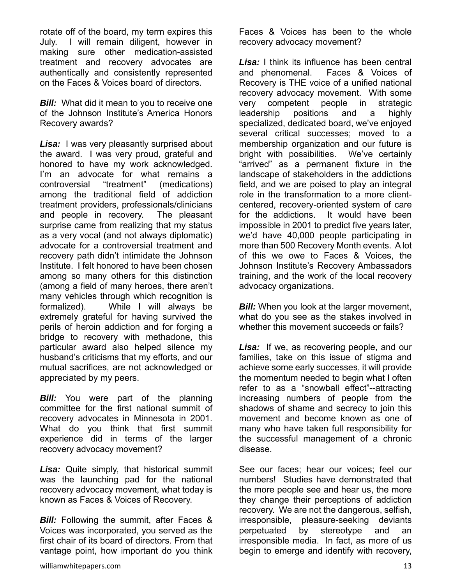rotate off of the board, my term expires this July. I will remain diligent, however in making sure other medication-assisted treatment and recovery advocates are authentically and consistently represented on the Faces & Voices board of directors.

**Bill:** What did it mean to you to receive one of the Johnson Institute's America Honors Recovery awards?

*Lisa:* I was very pleasantly surprised about the award. I was very proud, grateful and honored to have my work acknowledged. I'm an advocate for what remains a controversial "treatment" (medications) among the traditional field of addiction treatment providers, professionals/clinicians and people in recovery. The pleasant surprise came from realizing that my status as a very vocal (and not always diplomatic) advocate for a controversial treatment and recovery path didn't intimidate the Johnson Institute. I felt honored to have been chosen among so many others for this distinction (among a field of many heroes, there aren't many vehicles through which recognition is formalized). While I will always be extremely grateful for having survived the perils of heroin addiction and for forging a bridge to recovery with methadone, this particular award also helped silence my husband's criticisms that my efforts, and our mutual sacrifices, are not acknowledged or appreciated by my peers.

**Bill:** You were part of the planning committee for the first national summit of recovery advocates in Minnesota in 2001. What do you think that first summit experience did in terms of the larger recovery advocacy movement?

*Lisa:* Quite simply, that historical summit was the launching pad for the national recovery advocacy movement, what today is known as Faces & Voices of Recovery.

*Bill:* Following the summit, after Faces & Voices was incorporated, you served as the first chair of its board of directors. From that vantage point, how important do you think

Faces & Voices has been to the whole recovery advocacy movement?

*Lisa:* I think its influence has been central and phenomenal. Faces & Voices of Recovery is THE voice of a unified national recovery advocacy movement. With some very competent people in strategic leadership positions and a highly specialized, dedicated board, we've enjoyed several critical successes; moved to a membership organization and our future is bright with possibilities. We've certainly "arrived" as a permanent fixture in the landscape of stakeholders in the addictions field, and we are poised to play an integral role in the transformation to a more clientcentered, recovery-oriented system of care for the addictions. It would have been impossible in 2001 to predict five years later, we'd have 40,000 people participating in more than 500 Recovery Month events. A lot of this we owe to Faces & Voices, the Johnson Institute's Recovery Ambassadors training, and the work of the local recovery advocacy organizations.

*Bill:* When you look at the larger movement, what do you see as the stakes involved in whether this movement succeeds or fails?

*Lisa:* If we, as recovering people, and our families, take on this issue of stigma and achieve some early successes, it will provide the momentum needed to begin what I often refer to as a "snowball effect"--attracting increasing numbers of people from the shadows of shame and secrecy to join this movement and become known as one of many who have taken full responsibility for the successful management of a chronic disease.

See our faces; hear our voices; feel our numbers! Studies have demonstrated that the more people see and hear us, the more they change their perceptions of addiction recovery. We are not the dangerous, selfish, irresponsible, pleasure-seeking deviants perpetuated by stereotype and an irresponsible media. In fact, as more of us begin to emerge and identify with recovery,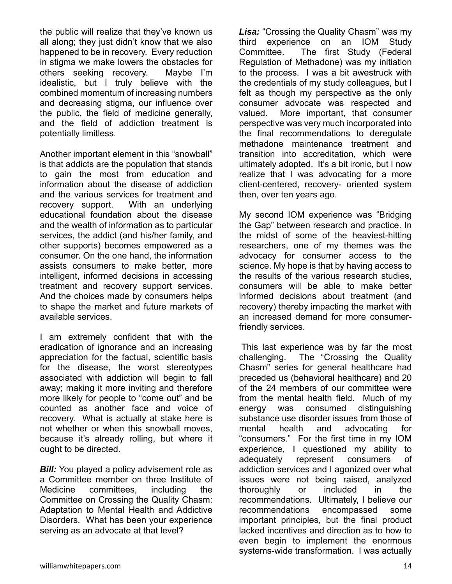the public will realize that they've known us all along; they just didn't know that we also happened to be in recovery. Every reduction in stigma we make lowers the obstacles for others seeking recovery. Maybe I'm idealistic, but I truly believe with the combined momentum of increasing numbers and decreasing stigma, our influence over the public, the field of medicine generally, and the field of addiction treatment is potentially limitless.

Another important element in this "snowball" is that addicts are the population that stands to gain the most from education and information about the disease of addiction and the various services for treatment and recovery support. With an underlying educational foundation about the disease and the wealth of information as to particular services, the addict (and his/her family, and other supports) becomes empowered as a consumer. On the one hand, the information assists consumers to make better, more intelligent, informed decisions in accessing treatment and recovery support services. And the choices made by consumers helps to shape the market and future markets of available services.

I am extremely confident that with the eradication of ignorance and an increasing appreciation for the factual, scientific basis for the disease, the worst stereotypes associated with addiction will begin to fall away; making it more inviting and therefore more likely for people to "come out" and be counted as another face and voice of recovery. What is actually at stake here is not whether or when this snowball moves, because it's already rolling, but where it ought to be directed.

**Bill:** You played a policy advisement role as a Committee member on three Institute of Medicine committees, including the Committee on Crossing the Quality Chasm: Adaptation to Mental Health and Addictive Disorders. What has been your experience serving as an advocate at that level?

*Lisa:* "Crossing the Quality Chasm" was my third experience on an IOM Study Committee. The first Study (Federal Regulation of Methadone) was my initiation to the process. I was a bit awestruck with the credentials of my study colleagues, but I felt as though my perspective as the only consumer advocate was respected and valued. More important, that consumer perspective was very much incorporated into the final recommendations to deregulate methadone maintenance treatment and transition into accreditation, which were ultimately adopted. It's a bit ironic, but I now realize that I was advocating for a more client-centered, recovery- oriented system then, over ten years ago.

My second IOM experience was "Bridging the Gap" between research and practice. In the midst of some of the heaviest-hitting researchers, one of my themes was the advocacy for consumer access to the science. My hope is that by having access to the results of the various research studies, consumers will be able to make better informed decisions about treatment (and recovery) thereby impacting the market with an increased demand for more consumerfriendly services.

 This last experience was by far the most challenging. The "Crossing the Quality Chasm" series for general healthcare had preceded us (behavioral healthcare) and 20 of the 24 members of our committee were from the mental health field. Much of my energy was consumed distinguishing substance use disorder issues from those of mental health and advocating for "consumers." For the first time in my IOM experience, I questioned my ability to adequately represent consumers of addiction services and I agonized over what issues were not being raised, analyzed thoroughly or included in the recommendations. Ultimately, I believe our recommendations encompassed some important principles, but the final product lacked incentives and direction as to how to even begin to implement the enormous systems-wide transformation. I was actually